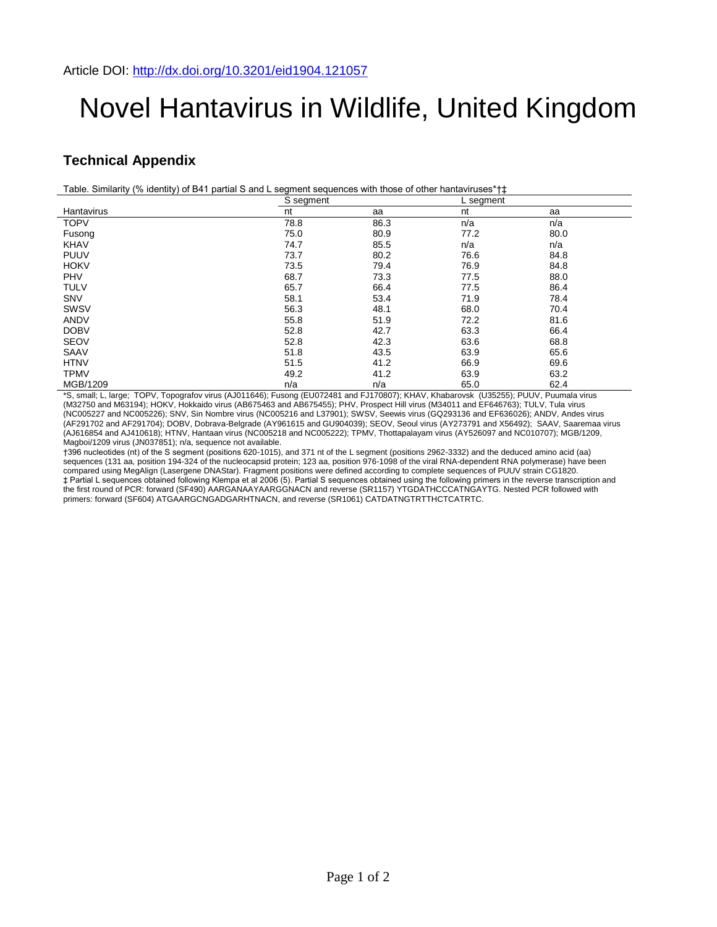## Novel Hantavirus in Wildlife, United Kingdom

## **Technical Appendix**

Table. Similarity (% identity) of B41 partial S and L segment sequences with those of other hantaviruses\*†‡

|             | S segment |      | L segment |      |
|-------------|-----------|------|-----------|------|
| Hantavirus  | nt        | aa   | nt        | aa   |
| <b>TOPV</b> | 78.8      | 86.3 | n/a       | n/a  |
| Fusong      | 75.0      | 80.9 | 77.2      | 80.0 |
| <b>KHAV</b> | 74.7      | 85.5 | n/a       | n/a  |
| <b>PUUV</b> | 73.7      | 80.2 | 76.6      | 84.8 |
| <b>HOKV</b> | 73.5      | 79.4 | 76.9      | 84.8 |
| PHV         | 68.7      | 73.3 | 77.5      | 88.0 |
| <b>TULV</b> | 65.7      | 66.4 | 77.5      | 86.4 |
| <b>SNV</b>  | 58.1      | 53.4 | 71.9      | 78.4 |
| SWSV        | 56.3      | 48.1 | 68.0      | 70.4 |
| <b>ANDV</b> | 55.8      | 51.9 | 72.2      | 81.6 |
| <b>DOBV</b> | 52.8      | 42.7 | 63.3      | 66.4 |
| <b>SEOV</b> | 52.8      | 42.3 | 63.6      | 68.8 |
| SAAV        | 51.8      | 43.5 | 63.9      | 65.6 |
| <b>HTNV</b> | 51.5      | 41.2 | 66.9      | 69.6 |
| <b>TPMV</b> | 49.2      | 41.2 | 63.9      | 63.2 |
| MGB/1209    | n/a       | n/a  | 65.0      | 62.4 |

\*S, small; L, large; TOPV, Topografov virus (AJ011646); Fusong (EU072481 and FJ170807); KHAV, Khabarovsk (U35255); PUUV, Puumala virus (M32750 and M63194); HOKV, Hokkaido virus (AB675463 and AB675455); PHV, Prospect Hill virus (M34011 and EF646763); TULV, Tula virus (NC005227 and NC005226); SNV, Sin Nombre virus (NC005216 and L37901); SWSV, Seewis virus (GQ293136 and EF636026); ANDV, Andes virus (AF291702 and AF291704); DOBV, Dobrava-Belgrade (AY961615 and GU904039); SEOV, Seoul virus (AY273791 and X56492); SAAV, Saaremaa virus (AJ616854 and AJ410618); HTNV, Hantaan virus (NC005218 and NC005222); TPMV, Thottapalayam virus (AY526097 and NC010707); MGB/1209, Magboi/1209 virus (JN037851); n/a, sequence not available.

†396 nucleotides (nt) of the S segment (positions 620-1015), and 371 nt of the L segment (positions 2962-3332) and the deduced amino acid (aa) sequences (131 aa, position 194-324 of the nucleocapsid protein; 123 aa, position 976-1098 of the viral RNA-dependent RNA polymerase) have been compared using MegAlign (Lasergene DNAStar). Fragment positions were defined according to complete sequences of PUUV strain CG1820. ‡ Partial L sequences obtained following Klempa et al 2006 (5). Partial S sequences obtained using the following primers in the reverse transcription and the first round of PCR: forward (SF490) AARGANAAYAARGGNACN and reverse (SR1157) YTGDATHCCCATNGAYTG. Nested PCR followed with primers: forward (SF604) ATGAARGCNGADGARHTNACN, and reverse (SR1061) CATDATNGTRTTHCTCATRTC.